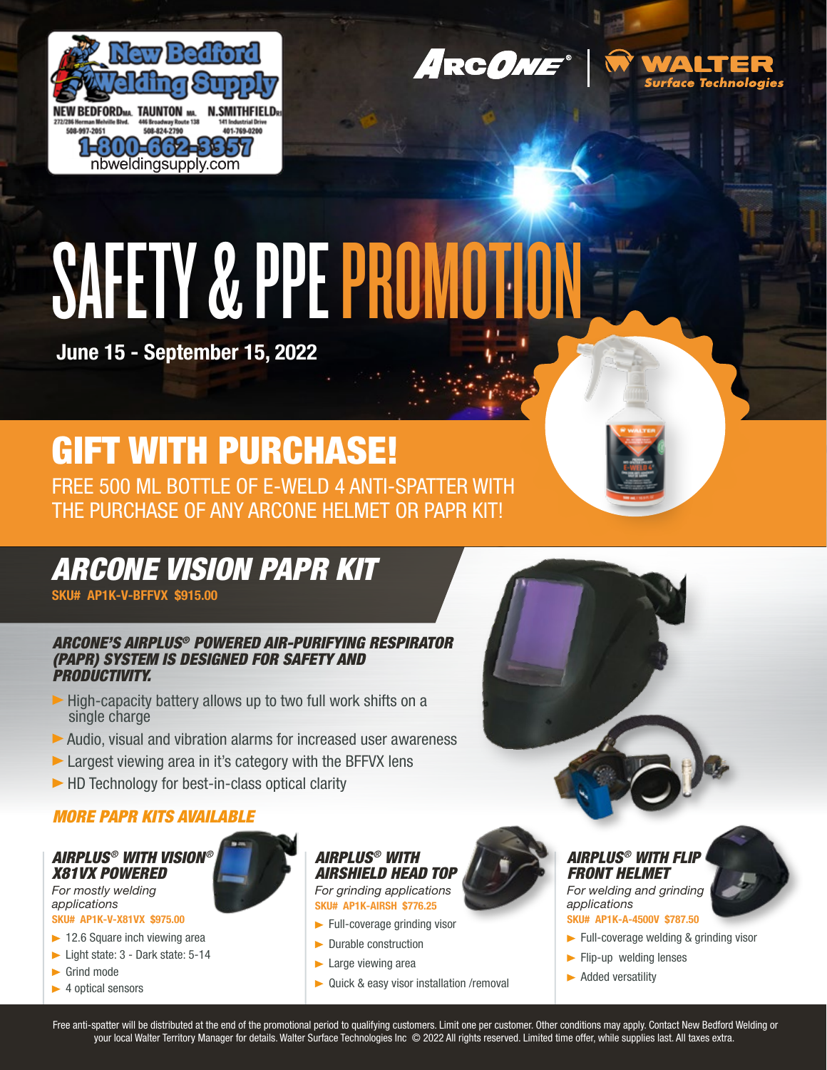

**ARCONE®** 



# SAFETY & PPE PROMOTION

June 15 - September 15, 2022

## GIFT WITH PURCHASE!

FREE 500 ML BOTTLE OF E-WELD 4 ANTI-SPATTER WITH THE PURCHASE OF ANY ARCONE HELMET OR PAPR KIT!

### *ARCONE VISION PAPR KIT*

SKU# AP1K-V-BFFVX \$915.00

#### *ARCONE'S AIRPLUS® POWERED AIR-PURIFYING RESPIRATOR (PAPR) SYSTEM IS DESIGNED FOR SAFETY AND PRODUCTIVITY.*

- $\blacktriangleright$  High-capacity battery allows up to two full work shifts on a single charge
- Audio, visual and vibration alarms for increased user awareness
- **Largest viewing area in it's category with the BFFVX lens**
- ▶ HD Technology for best-in-class optical clarity

#### *MORE PAPR KITS AVAILABLE*

#### *AIRPLUS® WITH VISION® X81VX POWERED*

*For mostly welding applications*

- SKU# AP1K-V-X81VX \$975.00
- $\blacktriangleright$  12.6 Square inch viewing area
- ► Light state: 3 Dark state: 5-14
- Grind mode
- $\blacktriangleright$  4 optical sensors



#### *AIRPLUS® WITH AIRSHIELD HEAD TOP For grinding applications* SKU# AP1K-AIRSH \$776.25

- $\blacktriangleright$  Full-coverage grinding visor
- **Durable construction**
- $\blacktriangleright$  Large viewing area
- ▶ Quick & easy visor installation /removal



#### *AIRPLUS® WITH FLIP FRONT HELMET*

*For welding and grinding applications* 

#### SKU# AP1K-A-4500V \$787.50

- Full-coverage welding & grinding visor
- $\blacktriangleright$  Flip-up welding lenses
- **Added versatility**

Free anti-spatter will be distributed at the end of the promotional period to qualifying customers. Limit one per customer. Other conditions may apply. Contact New Bedford Welding or your local Walter Territory Manager for details. Walter Surface Technologies Inc © 2022 All rights reserved. Limited time offer, while supplies last. All taxes extra.